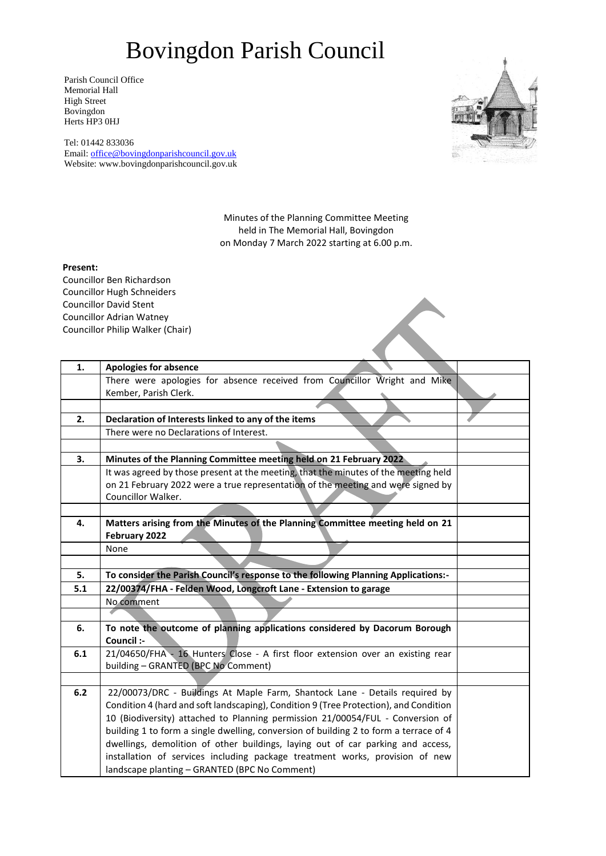## Bovingdon Parish Council

Parish Council Office Memorial Hall High Street Bovingdon Herts HP3 0HJ

Tel: 01442 833036 Email: [office@bovingdonparishcouncil.gov.uk](mailto:office@bovingdonparishcouncil.gov.uk) Website: www.bovingdonparishcouncil.gov.uk



Minutes of the Planning Committee Meeting held in The Memorial Hall, Bovingdon on Monday 7 March 2022 starting at 6.00 p.m.

## **Present:**

Councillor Ben Richardson Councillor Hugh Schneiders Councillor David Stent Councillor Adrian Watney Councillor Philip Walker (Chair)

| 1.    | <b>Apologies for absence</b>                                                          |  |
|-------|---------------------------------------------------------------------------------------|--|
|       | There were apologies for absence received from Councillor Wright and Mike             |  |
|       | Kember, Parish Clerk.                                                                 |  |
|       |                                                                                       |  |
| 2.    | Declaration of Interests linked to any of the items                                   |  |
|       | There were no Declarations of Interest.                                               |  |
|       |                                                                                       |  |
| 3.    | Minutes of the Planning Committee meeting held on 21 February 2022                    |  |
|       | It was agreed by those present at the meeting, that the minutes of the meeting held   |  |
|       | on 21 February 2022 were a true representation of the meeting and were signed by      |  |
|       | Councillor Walker.                                                                    |  |
|       |                                                                                       |  |
| 4.    | Matters arising from the Minutes of the Planning Committee meeting held on 21         |  |
|       | February 2022                                                                         |  |
|       | None                                                                                  |  |
|       |                                                                                       |  |
| 5.    | To consider the Parish Council's response to the following Planning Applications:-    |  |
| 5.1   | 22/00374/FHA - Felden Wood, Longcroft Lane - Extension to garage                      |  |
|       | No comment                                                                            |  |
|       |                                                                                       |  |
| 6.    | To note the outcome of planning applications considered by Dacorum Borough            |  |
|       | Council :-                                                                            |  |
| 6.1   | 21/04650/FHA - 16 Hunters Close - A first floor extension over an existing rear       |  |
|       | building - GRANTED (BPC No Comment)                                                   |  |
|       |                                                                                       |  |
| $6.2$ | 22/00073/DRC - Buildings At Maple Farm, Shantock Lane - Details required by           |  |
|       | Condition 4 (hard and soft landscaping), Condition 9 (Tree Protection), and Condition |  |
|       | 10 (Biodiversity) attached to Planning permission 21/00054/FUL - Conversion of        |  |
|       | building 1 to form a single dwelling, conversion of building 2 to form a terrace of 4 |  |
|       | dwellings, demolition of other buildings, laying out of car parking and access,       |  |
|       | installation of services including package treatment works, provision of new          |  |
|       | landscape planting - GRANTED (BPC No Comment)                                         |  |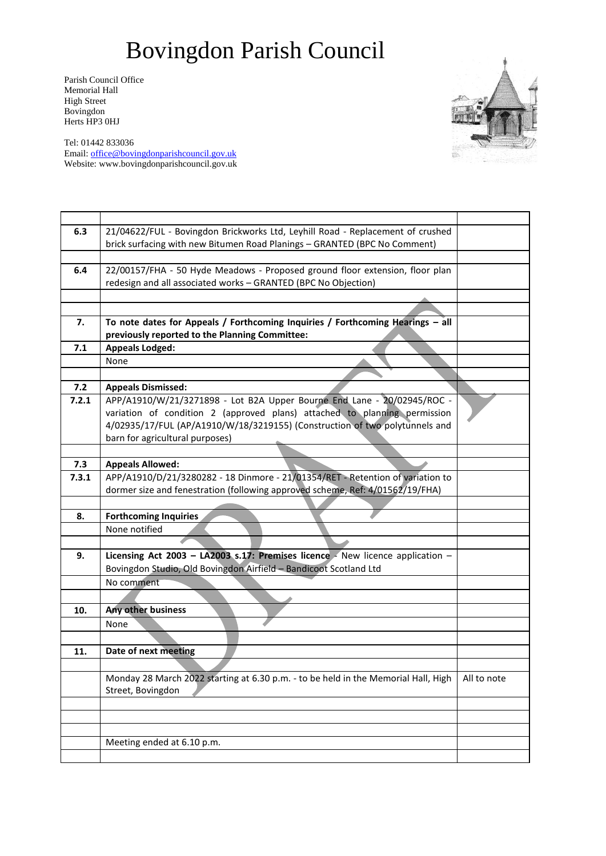## Bovingdon Parish Council

Parish Council Office Memorial Hall High Street Bovingdon Herts HP3 0HJ



Tel: 01442 833036 Email: [office@bovingdonparishcouncil.gov.uk](mailto:office@bovingdonparishcouncil.gov.uk) Website: www.bovingdonparishcouncil.gov.uk

| 6.3   | 21/04622/FUL - Bovingdon Brickworks Ltd, Leyhill Road - Replacement of crushed     |             |
|-------|------------------------------------------------------------------------------------|-------------|
|       | brick surfacing with new Bitumen Road Planings - GRANTED (BPC No Comment)          |             |
|       |                                                                                    |             |
| 6.4   | 22/00157/FHA - 50 Hyde Meadows - Proposed ground floor extension, floor plan       |             |
|       | redesign and all associated works - GRANTED (BPC No Objection)                     |             |
|       |                                                                                    |             |
|       |                                                                                    |             |
| 7.    | To note dates for Appeals / Forthcoming Inquiries / Forthcoming Hearings - all     |             |
|       | previously reported to the Planning Committee:                                     |             |
| 7.1   | <b>Appeals Lodged:</b>                                                             |             |
|       | None                                                                               |             |
|       |                                                                                    |             |
| 7.2   | <b>Appeals Dismissed:</b>                                                          |             |
| 7.2.1 | APP/A1910/W/21/3271898 - Lot B2A Upper Bourne End Lane - 20/02945/ROC -            |             |
|       | variation of condition 2 (approved plans) attached to planning permission          |             |
|       | 4/02935/17/FUL (AP/A1910/W/18/3219155) (Construction of two polytunnels and        |             |
|       | barn for agricultural purposes)                                                    |             |
|       |                                                                                    |             |
| 7.3   | <b>Appeals Allowed:</b>                                                            |             |
| 7.3.1 | APP/A1910/D/21/3280282 - 18 Dinmore - 21/01354/RET - Retention of variation to     |             |
|       | dormer size and fenestration (following approved scheme, Ref: 4/01562/19/FHA)      |             |
|       |                                                                                    |             |
| 8.    | <b>Forthcoming Inquiries</b>                                                       |             |
|       | None notified                                                                      |             |
|       |                                                                                    |             |
| 9.    | Licensing Act 2003 - LA2003 s.17: Premises licence - New licence application -     |             |
|       | Bovingdon Studio, Old Bovingdon Airfield - Bandicoot Scotland Ltd                  |             |
|       | No comment                                                                         |             |
|       |                                                                                    |             |
| 10.   | <b>Any other business</b>                                                          |             |
|       | None                                                                               |             |
|       |                                                                                    |             |
| 11.   | Date of next meeting                                                               |             |
|       |                                                                                    |             |
|       | Monday 28 March 2022 starting at 6.30 p.m. - to be held in the Memorial Hall, High | All to note |
|       | Street, Bovingdon                                                                  |             |
|       |                                                                                    |             |
|       |                                                                                    |             |
|       |                                                                                    |             |
|       | Meeting ended at 6.10 p.m.                                                         |             |
|       |                                                                                    |             |